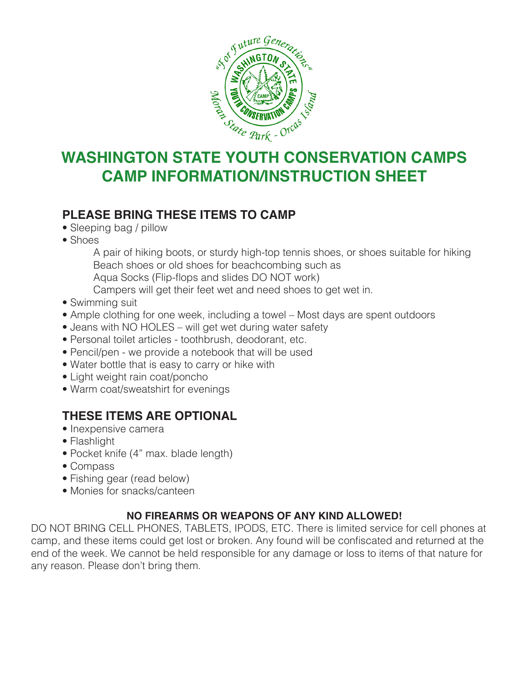

# **CAMP INFORMATION/INSTRUCTION SHEET**

## **PLEASE BRING THESE ITEMS TO CAMP**

- Sleeping bag / pillow
- Shoes

 A pair of hiking boots, or sturdy high-top tennis shoes, or shoes suitable for hiking Beach shoes or old shoes for beachcombing such as Aqua Socks (Flip-flops and slides DO NOT work) Campers will get their feet wet and need shoes to get wet in.

- Swimming suit
- Ample clothing for one week, including a towel Most days are spent outdoors
- Jeans with NO HOLES will get wet during water safety
- Personal toilet articles toothbrush, deodorant, etc.
- Pencil/pen we provide a notebook that will be used
- Water bottle that is easy to carry or hike with
- Light weight rain coat/poncho
- Warm coat/sweatshirt for evenings

## **THESE ITEMS ARE OPTIONAL**

- Inexpensive camera
- Flashlight
- Pocket knife (4" max. blade length)
- Compass
- Fishing gear (read below)
- Monies for snacks/canteen

#### **NO FIREARMS OR WEAPONS OF ANY KIND ALLOWED!**

DO NOT BRING CELL PHONES, TABLETS, IPODS, ETC. There is limited service for cell phones at camp, and these items could get lost or broken. Any found will be confiscated and returned at the end of the week. We cannot be held responsible for any damage or loss to items of that nature for any reason. Please don't bring them.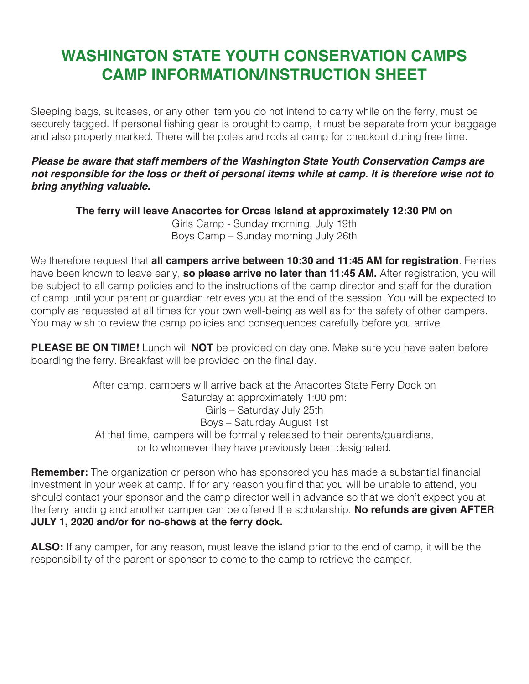# **WASHINGTON STATE YOUTH CONSERVATION CAMPS CAMP INFORMATION/INSTRUCTION SHEET**

Sleeping bags, suitcases, or any other item you do not intend to carry while on the ferry, must be securely tagged. If personal fishing gear is brought to camp, it must be separate from your baggage and also properly marked. There will be poles and rods at camp for checkout during free time.

#### *Please be aware that staff members of the Washington State Youth Conservation Camps are not responsible for the loss or theft of personal items while at camp. It is therefore wise not to bring anything valuable.*

**The ferry will leave Anacortes for Orcas Island at approximately 12:30 PM on**

Girls Camp - Sunday morning, July 19th Boys Camp – Sunday morning July 26th

We therefore request that **all campers arrive between 10:30 and 11:45 AM for registration**. Ferries have been known to leave early, **so please arrive no later than 11:45 AM.** After registration, you will be subject to all camp policies and to the instructions of the camp director and staff for the duration of camp until your parent or guardian retrieves you at the end of the session. You will be expected to comply as requested at all times for your own well-being as well as for the safety of other campers. You may wish to review the camp policies and consequences carefully before you arrive.

**PLEASE BE ON TIME!** Lunch will **NOT** be provided on day one. Make sure you have eaten before boarding the ferry. Breakfast will be provided on the final day.

> After camp, campers will arrive back at the Anacortes State Ferry Dock on Saturday at approximately 1:00 pm: Girls – Saturday July 25th Boys – Saturday August 1st At that time, campers will be formally released to their parents/guardians, or to whomever they have previously been designated.

**Remember:** The organization or person who has sponsored you has made a substantial financial investment in your week at camp. If for any reason you find that you will be unable to attend, you should contact your sponsor and the camp director well in advance so that we don't expect you at the ferry landing and another camper can be offered the scholarship. **No refunds are given AFTER JULY 1, 2020 and/or for no-shows at the ferry dock.** 

**ALSO:** If any camper, for any reason, must leave the island prior to the end of camp, it will be the responsibility of the parent or sponsor to come to the camp to retrieve the camper.